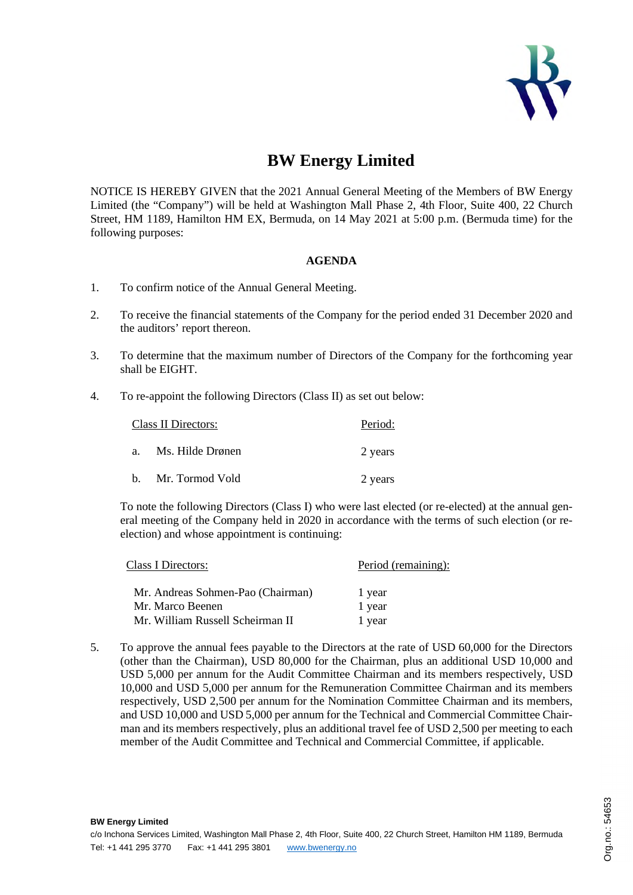

## **BW Energy Limited**

NOTICE IS HEREBY GIVEN that the 2021 Annual General Meeting of the Members of BW Energy Limited (the "Company") will be held at Washington Mall Phase 2, 4th Floor, Suite 400, 22 Church Street, HM 1189, Hamilton HM EX, Bermuda, on 14 May 2021 at 5:00 p.m. (Bermuda time) for the following purposes:

## **AGENDA**

- 1. To confirm notice of the Annual General Meeting.
- 2. To receive the financial statements of the Company for the period ended 31 December 2020 and the auditors' report thereon.
- 3. To determine that the maximum number of Directors of the Company for the forthcoming year shall be EIGHT.
- 4. To re-appoint the following Directors (Class II) as set out below:

| Class II Directors: |                     | Period: |
|---------------------|---------------------|---------|
|                     | a. Ms. Hilde Drønen | 2 years |
|                     | b. Mr. Tormod Vold  | 2 years |

To note the following Directors (Class I) who were last elected (or re-elected) at the annual general meeting of the Company held in 2020 in accordance with the terms of such election (or reelection) and whose appointment is continuing:

| Class I Directors:                | Period (remaining): |  |
|-----------------------------------|---------------------|--|
| Mr. Andreas Sohmen-Pao (Chairman) | 1 year              |  |
| Mr. Marco Beenen                  | 1 year              |  |
| Mr. William Russell Scheirman II  | 1 year              |  |

**BW Energy Limited**

5. To approve the annual fees payable to the Directors at the rate of USD 60,000 for the Directors (other than the Chairman), USD 80,000 for the Chairman, plus an additional USD 10,000 and USD 5,000 per annum for the Audit Committee Chairman and its members respectively, USD 10,000 and USD 5,000 per annum for the Remuneration Committee Chairman and its members respectively, USD 2,500 per annum for the Nomination Committee Chairman and its members, and USD 10,000 and USD 5,000 per annum for the Technical and Commercial Committee Chairman and its members respectively, plus an additional travel fee of USD 2,500 per meeting to each member of the Audit Committee and Technical and Commercial Committee, if applicable.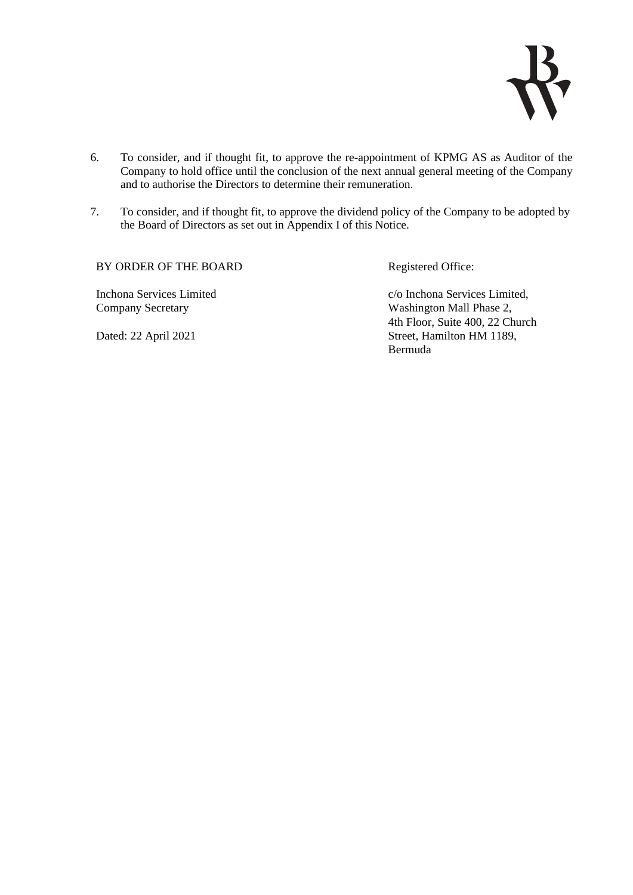

- 6. To consider, and if thought fit, to approve the re-appointment of KPMG AS as Auditor of the Company to hold office until the conclusion of the next annual general meeting of the Company and to authorise the Directors to determine their remuneration.
- 7. To consider, and if thought fit, to approve the dividend policy of the Company to be adopted by the Board of Directors as set out in Appendix I of this Notice.

BY ORDER OF THE BOARD Registered Office:

Inchona Services Limited Company Secretary

c/o Inchona Services Limited, Washington Mall Phase 2, 4th Floor, Suite 400, 22 Church Street, Hamilton HM 1189, Bermuda

Dated: 22 April 2021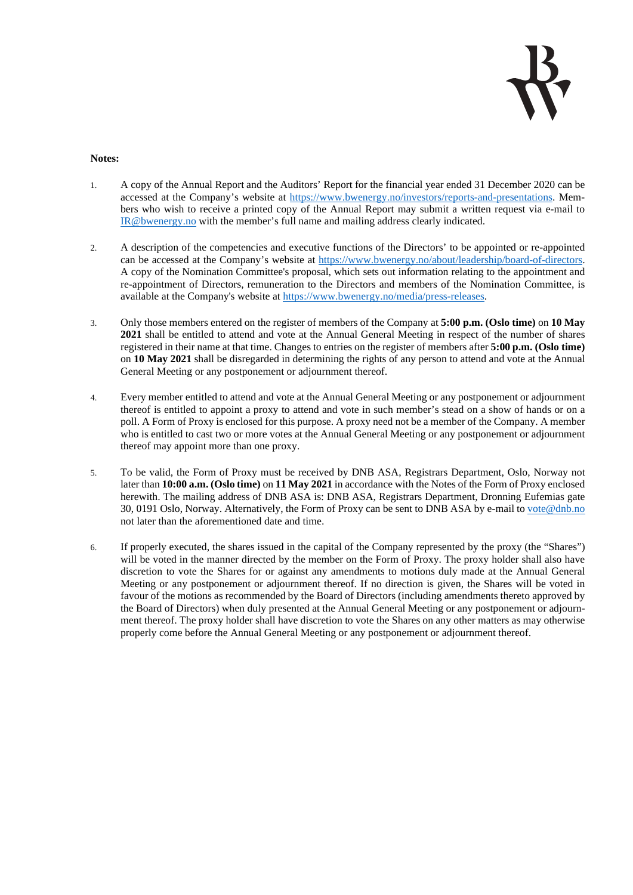

## **Notes:**

- 1. A copy of the Annual Report and the Auditors' Report for the financial year ended 31 December 2020 can be accessed at the Company's website at https://www.bwenergy.no/investors/reports-and-presentations. Members who wish to receive a printed copy of the Annual Report may submit a written request via e-mail to IR@bwenergy.no with the member's full name and mailing address clearly indicated.
- 2. A description of the competencies and executive functions of the Directors' to be appointed or re-appointed can be accessed at the Company's website at https://www.bwenergy.no/about/leadership/board-of-directors. A copy of the Nomination Committee's proposal, which sets out information relating to the appointment and re-appointment of Directors, remuneration to the Directors and members of the Nomination Committee, is available at the Company's website at https://www.bwenergy.no/media/press-releases.
- 3. Only those members entered on the register of members of the Company at **5:00 p.m. (Oslo time)** on **10 May 2021** shall be entitled to attend and vote at the Annual General Meeting in respect of the number of shares registered in their name at that time. Changes to entries on the register of members after **5:00 p.m. (Oslo time)** on **10 May 2021** shall be disregarded in determining the rights of any person to attend and vote at the Annual General Meeting or any postponement or adjournment thereof.
- 4. Every member entitled to attend and vote at the Annual General Meeting or any postponement or adjournment thereof is entitled to appoint a proxy to attend and vote in such member's stead on a show of hands or on a poll. A Form of Proxy is enclosed for this purpose. A proxy need not be a member of the Company. A member who is entitled to cast two or more votes at the Annual General Meeting or any postponement or adjournment thereof may appoint more than one proxy.
- 5. To be valid, the Form of Proxy must be received by DNB ASA, Registrars Department, Oslo, Norway not later than **10:00 a.m. (Oslo time)** on **11 May 2021** in accordance with the Notes of the Form of Proxy enclosed herewith. The mailing address of DNB ASA is: DNB ASA, Registrars Department, Dronning Eufemias gate 30, 0191 Oslo, Norway. Alternatively, the Form of Proxy can be sent to DNB ASA by e-mail to vote@dnb.no not later than the aforementioned date and time.
- 6. If properly executed, the shares issued in the capital of the Company represented by the proxy (the "Shares") will be voted in the manner directed by the member on the Form of Proxy. The proxy holder shall also have discretion to vote the Shares for or against any amendments to motions duly made at the Annual General Meeting or any postponement or adjournment thereof. If no direction is given, the Shares will be voted in favour of the motions as recommended by the Board of Directors (including amendments thereto approved by the Board of Directors) when duly presented at the Annual General Meeting or any postponement or adjournment thereof. The proxy holder shall have discretion to vote the Shares on any other matters as may otherwise properly come before the Annual General Meeting or any postponement or adjournment thereof.